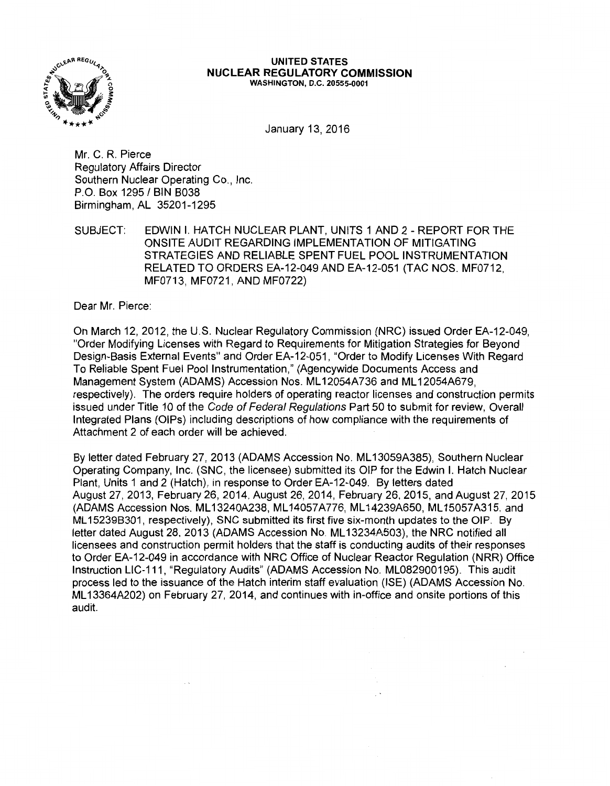

#### UNITED STATES NUCLEAR REGULATORY COMMISSION WASHINGTON, D.C. 20555-0001

January 13, 2016

Mr. C. R. Pierce Regulatory Affairs Director Southern Nuclear Operating Co., Inc. P.O. Box 1295 / BIN B038 Birmingham, AL 35201-1295

 $\sim$   $\sim$ 

SUBJECT: EDWIN I. HATCH NUCLEAR PLANT, UNITS 1 AND 2 - REPORT FOR THE ONSITE AUDIT REGARDING IMPLEMENTATION OF MITIGATING STRATEGIES AND RELIABLE SPENT FUEL POOL INSTRUMENTATION RELATED TO ORDERS EA-12-049 AND EA-12-051 (TAC NOS. MF0712, MF0713, MF0721, AND MF0722)

Dear Mr. Pierce:

On March 12, 2012, the U.S. Nuclear Regulatory Commission (NRC) issued Order EA-12-049, "Order Modifying Licenses with Regard to Requirements for Mitigation Strategies for Beyond Design-Basis External Events" and Order EA-12-051, "Order to Modify Licenses With Regard To Reliable Spent Fuel Pool Instrumentation," (Agencywide Documents Access and Management System (ADAMS) Accession Nos. ML 12054A736 and ML 12054A679, respectively). The orders require holders of operating reactor licenses and construction permits issued under Title 10 of the Code of Federal Regulations Part 50 to submit for review, Overall Integrated Plans (OIPs) including descriptions of how compliance with the requirements of Attachment 2 of each order will be achieved.

By letter dated February 27, 2013 (ADAMS Accession No. ML 13059A385), Southern Nuclear Operating Company, Inc. (SNC, the licensee) submitted its OIP for the Edwin I. Hatch Nuclear Plant, Units 1 and 2 (Hatch), in response to Order EA-12-049. By letters dated August 27, 2013, February 26, 2014, August 26, 2014, February 26, 2015, and August 27, 2015 (ADAMS Accession Nos. ML 13240A238, ML 14057A776, ML 14239A650, ML 15057A315. and ML 152398301, respectively), SNC submitted its first five six-month updates to the OIP. By letter dated August 28. 2013 (ADAMS Accession No. ML 13234A503), the NRC notified all licensees and construction permit holders that the staff is conducting audits of their responses to Order EA-12-049 in accordance with NRC Office of Nuclear Reactor Regulation (NRR) Office Instruction LIC-111, "Regulatory Audits" (ADAMS Accession No. ML082900195). This audit process led to the issuance of the Hatch interim staff evaluation (ISE) (ADAMS Accession No. ML 13364A202) on February 27, 2014, and continues with in-office and onsite portions of this audit.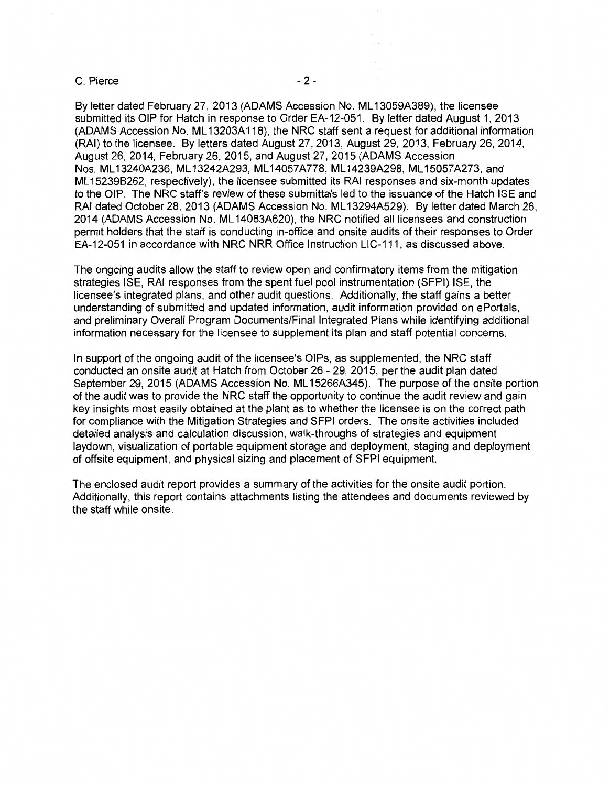#### C. Pierce - 2 -

By letter dated February 27, 2013 (ADAMS Accession No. ML 13059A389), the licensee submitted its OIP for Hatch in response to Order EA-12-051. By letter dated August 1, 2013 (ADAMS Accession No. ML 13203A 118), the NRC staff sent a request for additional information (RAI) to the licensee. By letters dated August 27, 2013, August 29, 2013, February 26, 2014, August 26, 2014, February 26, 2015, and August 27, 2015 (ADAMS Accession Nos. ML 13240A236, ML 13242A293, ML 14057A778, ML 14239A298, ML 15057A273, and ML 15239B262, respectively), the licensee submitted its RAI responses and six-month updates to the OIP. The NRC staff's review of these submittals led to the issuance of the Hatch ISE and RAI dated October 28, 2013 (ADAMS Accession No. ML 13294A529). By letter dated March 26, 2014 (ADAMS Accession No. ML 14083A620), the NRC notified all licensees and construction permit holders that the staff is conducting in-office and onsite audits of their responses to Order EA-12-051 in accordance with NRC NRR Office Instruction LIC-111, as discussed above.

The ongoing audits allow the staff to review open and confirmatory items from the mitigation strategies ISE, RAI responses from the spent fuel pool instrumentation (SFPI) ISE, the licensee's integrated plans, and other audit questions. Additionally, the staff gains a better understanding of submitted and updated information, audit information provided on ePortals, and preliminary Overall Program Documents/Final Integrated Plans while identifying additional information necessary for the licensee to supplement its plan and staff potential concerns.

In support of the ongoing audit of the licensee's OIPs, as supplemented, the NRC staff conducted an onsite audit at Hatch from October 26 - 29, 2015, per the audit plan dated September 29, 2015 (ADAMS Accession No. ML15266A345). The purpose of the onsite portion of the audit was to provide the NRC staff the opportunity to continue the audit review and gain key insights most easily obtained at the plant as to whether the licensee is on the correct path for compliance with the Mitigation Strategies and SFPI orders. The onsite activities included detailed analysis and calculation discussion, walk-throughs of strategies and equipment laydown, visualization of portable equipment storage and deployment, staging and deployment of offsite equipment, and physical sizing and placement of SFPI equipment.

The enclosed audit report provides a summary of the activities for the onsite audit portion. Additionally, this report contains attachments listing the attendees and documents reviewed by the staff while onsite.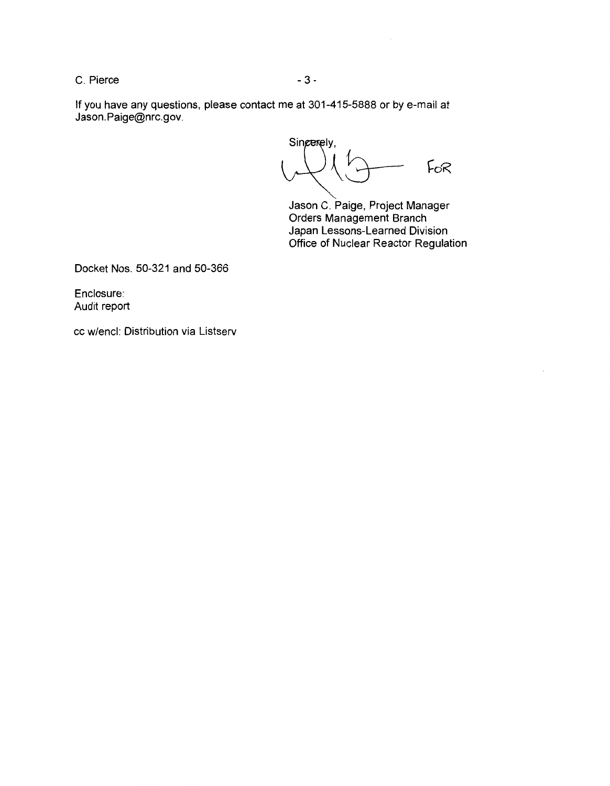C. Pierce - 3 -

If you have any questions, please contact me at 301-415-5888 or by e-mail at Jason.Paige@nrc.gov.

Singerely,  $U\setminus U$  for

Jason C. Paige, Project Manager Orders Management Branch Japan Lessons-Learned Division Office of Nuclear Reactor Regulation

Docket Nos. 50-321 and 50-366

Enclosure: Audit report

cc w/encl: Distribution via Listserv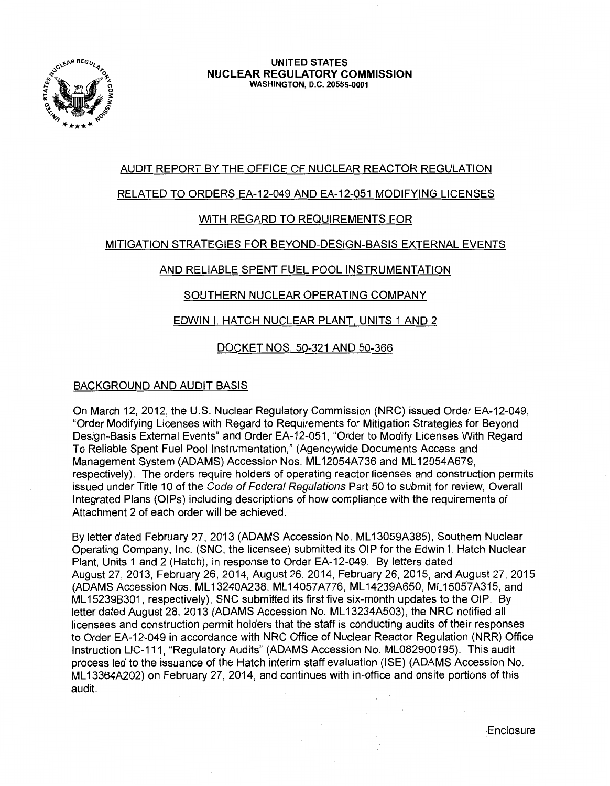

## AUDIT REPORT BY THE OFFICE OF NUCLEAR REACTOR REGULATION

### RELATED TO ORDERS EA-12-049 AND EA-12-051 MODIFYING LICENSES

### WITH REGARD TO REQUIREMENTS FOR

### MITIGATION STRATEGIES FOR BEYOND-DESIGN-BASIS EXTERNAL EVENTS

### AND RELIABLE SPENT FUEL POOL INSTRUMENTATION

### SOUTHERN NUCLEAR OPERATING COMPANY

### EDWIN I. HATCH NUCLEAR PLANT. UNITS 1 AND 2

### DOCKET NOS. 50-321 AND 50-366

### BACKGROUND AND AUDIT BASIS

On March 12, 2012, the U.S. Nuclear Regulatory Commission (NRC) issued Order EA-12-049, "Order Modifying Licenses with Regard to Requirements for Mitigation Strategies for Beyond Design-Basis External Events" and Order EA-12-051, "Order to Modify Licenses With Regard To Reliable Spent Fuel Pool Instrumentation,'' (Agencywide Documents Access and Management System (ADAMS) Accession Nos. ML 12054A736 and ML 12054A679, respectively). The orders require holders of operating reactor licenses and construction permits issued under Title 10 of the Code of Federal Regulations Part 50 to submit for review, Overall Integrated Plans (OIPs) including descriptions of how compliance with the requirements of Attachment 2 of each order will be achieved.

By letter dated February 27, 2013 (ADAMS Accession No. ML 13059A385), Southern Nuclear Operating Company, Inc. (SNC, the licensee) submitted its OIP for the Edwin I. Hatch Nuclear Plant, Units 1 and 2 (Hatch), in response to Order EA-12-049. By letters dated August 27, 2013, February 26, 2014, August 26. 2014, February 26, 2015, and August 27, 2015 (ADAMS Accession Nos. ML 13240A238, ML 14057A776, ML 14239A650, ML 15057A315, and ML 15239B301, respectively), SNC submitted its first five six-month updates to the OIP. By letter dated August 28, 2013 (ADAMS Accession No. ML13234A503), the NRC notified all licensees and construction permit holders that the staff is conducting audits of their responses to Order EA-12-049 in accordance with NRC Office of Nuclear Reactor Regulation (NRR) Office Instruction LIC-111, "Regulatory Audits" (ADAMS Accession No. ML082900195). This audit process led to the issuance of the Hatch interim staff evaluation (ISE) (ADAMS Accession No. ML 13364A202) on February 27, 2014, and continues with in-office and onsite portions of this audit.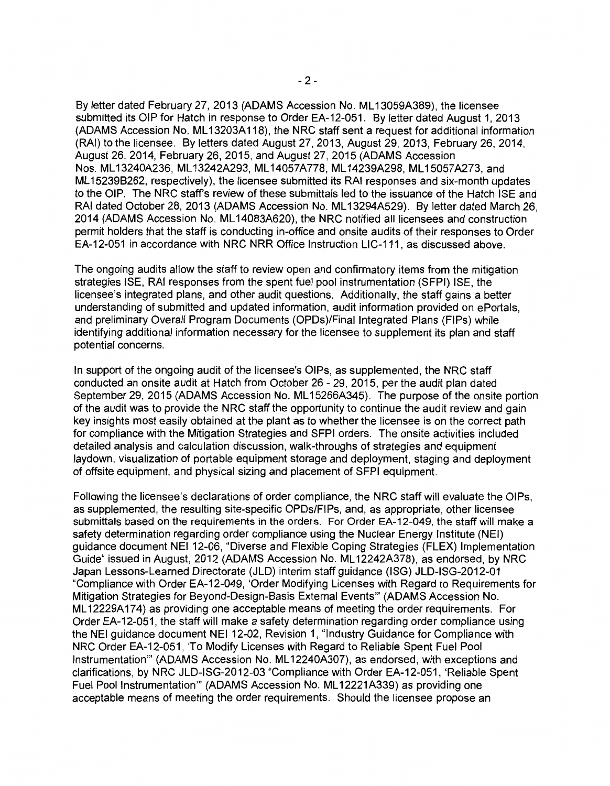By letter dated February 27, 2013 (ADAMS Accession No. ML 13059A389), the licensee submitted its OIP for Hatch in response to Order EA-12-051. By letter dated August 1, 2013 (ADAMS Accession No. ML 13203A 118), the NRC staff sent a request for additional information (RAI) to the licensee. By letters dated August 27, 2013, August 29, 2013, February 26, 2014, August 26, 2014, February 26, 2015, and August 27, 2015 (ADAMS Accession Nos. ML 13240A236, ML 13242A293, ML 14057 A778, ML 14239A298, ML 15057 A273, and ML 15239B262, respectively), the licensee submitted its RAI responses and six-month updates to the OIP. The NRC staff's review of these submittals led to the issuance of the Hatch ISE and RAI dated October 28, 2013 (ADAMS Accession No. ML 13294A529). By letter dated March 26, 2014 (ADAMS Accession No. ML 14083A620), the NRC notified all licensees and construction permit holders that the staff is conducting in-office and onsite audits of their responses to Order EA-12-051 in accordance with NRC NRR Office Instruction LIC-111, as discussed above.

The ongoing audits allow the staff to review open and confirmatory items from the mitigation strategies ISE, RAI responses from the spent fuel pool instrumentation (SFPI) ISE, the licensee's integrated plans, and other audit questions. Additionally, the staff gains a better understanding of submitted and updated information, audit information provided on ePortals, and preliminary Overall Program Documents (OPDs)/Final Integrated Plans (FIPs) while identifying additional information necessary for the licensee to supplement its plan and staff potential concerns.

In support of the ongoing audit of the licensee's OIPs, as supplemented, the NRC staff conducted an onsite audit at Hatch from October 26 - 29, 2015, per the audit plan dated September 29, 2015 (ADAMS Accession No. ML15266A345). The purpose of the onsite portion of the audit was to provide the NRC staff the opportunity to continue the audit review and gain key insights most easily obtained at the plant as to whether the licensee is on the correct path for compliance with the Mitigation Strategies and SFPI orders. The onsite activities included detailed analysis and calculation discussion, walk-throughs of strategies and equipment laydown, visualization of portable equipment storage and deployment, staging and deployment of offsite equipment, and physical sizing and placement of SFPI equipment.

Following the licensee's declarations of order compliance, the NRC staff will evaluate the OIPs, as supplemented, the resulting site-specific OPDs/FIPs, and, as appropriate, other licensee submittals based on the requirements in the orders. For Order EA-12-049, the staff will make a safety determination regarding order compliance using the Nuclear Energy Institute (NEI) guidance document NEI 12-06, "Diverse and Flexible Coping Strategies (FLEX) Implementation Guide" issued in August, 2012 (ADAMS Accession No. ML 12242A378), as endorsed, by NRC Japan Lessons-Learned Directorate (JLD) interim staff guidance (ISG) JLD-ISG-2012-01 "Compliance with Order EA-12-049, 'Order Modifying Licenses with Regard to Requirements for Mitigation Strategies for Beyond-Design-Basis External Events"' (ADAMS Accession No. ML 12229A174) as providing one acceptable means of meeting the order requirements. For Order EA-12-051, the staff will make a safety determination regarding order compliance using the NEI guidance document NEI 12-02, Revision 1, "Industry Guidance for Compliance with NRC Order EA-12-051, 'To Modify Licenses with Regard to Reliable Spent Fuel Pool Instrumentation"' (ADAMS Accession No. ML 12240A307), as endorsed, with exceptions and clarifications, by NRC JLD-ISG-2012-03 "Compliance with Order EA-12-051, 'Reliable Spent Fuel Pool Instrumentation"' (ADAMS Accession No. ML 12221A339) as providing one acceptable means of meeting the order requirements. Should the licensee propose an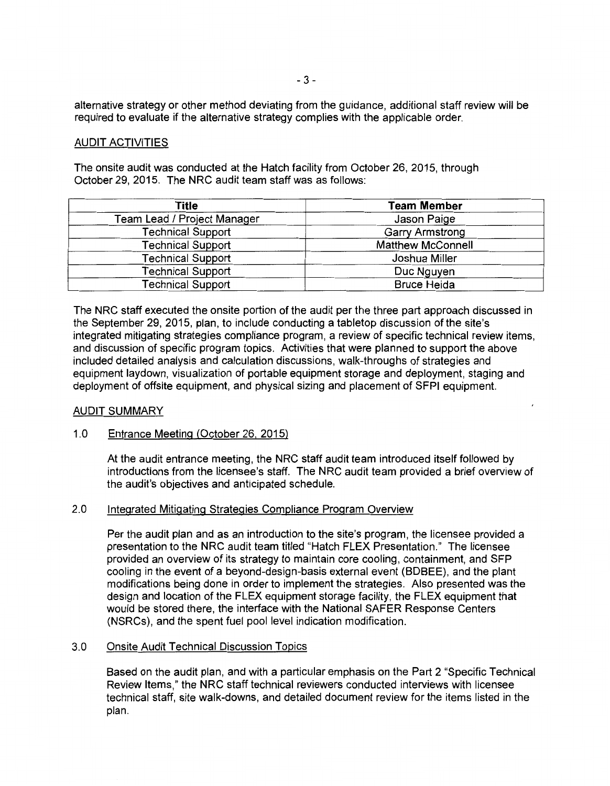alternative strategy or other method deviating from the guidance, additional staff review will be required to evaluate if the alternative strategy complies with the applicable order.

#### AUDIT ACTIVITIES

The onsite audit was conducted at the Hatch facility from October 26, 2015, through October 29, 2015. The NRC audit team staff was as follows:

| Title                       | <b>Team Member</b>       |
|-----------------------------|--------------------------|
| Team Lead / Project Manager | Jason Paige              |
| <b>Technical Support</b>    | <b>Garry Armstrong</b>   |
| <b>Technical Support</b>    | <b>Matthew McConnell</b> |
| <b>Technical Support</b>    | Joshua Miller            |
| <b>Technical Support</b>    | Duc Nguyen               |
| <b>Technical Support</b>    | <b>Bruce Heida</b>       |

The NRC staff executed the onsite portion of the audit per the three part approach discussed in the September 29, 2015, plan, to include conducting a tabletop discussion of the site's integrated mitigating strategies compliance program, a review of specific technical review items, and discussion of specific program topics. Activities that were planned to support the above included detailed analysis and calculation discussions, walk-throughs of strategies and equipment laydown, visualization of portable equipment storage and deployment, staging and deployment of offsite equipment, and physical sizing and placement of SFPI equipment.

#### AUDIT SUMMARY

#### 1.0 Entrance Meeting (October 26. 2015)

At the audit entrance meeting, the NRC staff audit team introduced itself followed by introductions from the licensee's staff. The NRC audit team provided a brief overview of the audit's objectives and anticipated schedule.

#### 2.0 Integrated Mitigating Strategies Compliance Program Overview

Per the audit plan and as an introduction to the site's program, the licensee provided a presentation to the NRC audit team titled "Hatch FLEX Presentation." The licensee provided an overview of its strategy to maintain core cooling, containment, and SFP cooling in the event of a beyond-design-basis external event (BDBEE), and the plant modifications being done in order to implement the strategies. Also presented was the design and location of the FLEX equipment storage facility, the FLEX equipment that would be stored there, the interface with the National SAFER Response Centers (NSRCs), and the spent fuel pool level indication modification.

#### 3.0 Onsite Audit Technical Discussion Topics

Based on the audit plan, and with a particular emphasis on the Part 2 "Specific Technical Review Items," the NRC staff technical reviewers conducted interviews with licensee technical staff, site walk-downs, and detailed document review for the items listed in the plan.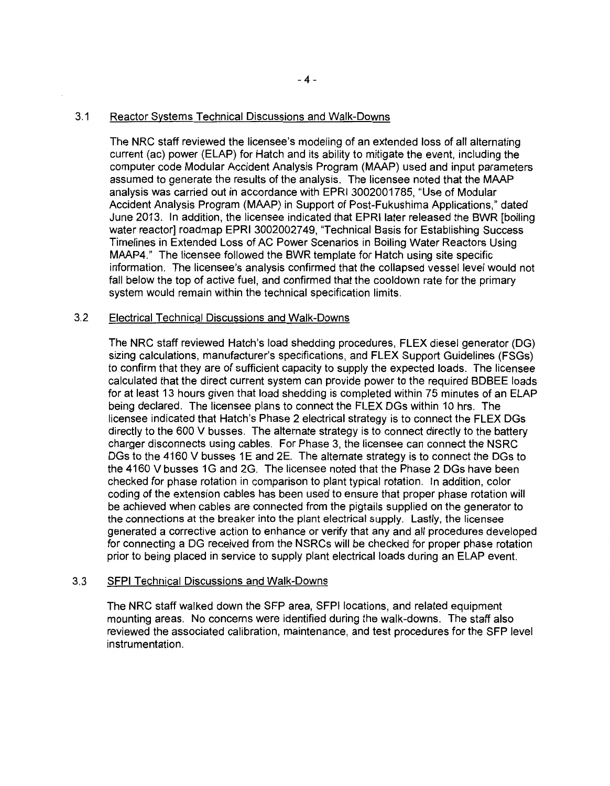#### 3.1 Reactor Systems Technical Discussions and Walk-Downs

The NRC staff reviewed the licensee's modeling of an extended loss of all alternating current (ac) power (ELAP) for Hatch and its ability to mitigate the event, including the computer code Modular Accident Analysis Program (MAAP) used and input parameters assumed to generate the results of the analysis. The licensee noted that the MAAP analysis was carried out in accordance with EPRI 3002001785, "Use of Modular Accident Analysis Program (MAAP) in Support of Post-Fukushima Applications," dated June 2013. In addition, the licensee indicated that EPRI later released the BWR (boiling water reactor] roadmap EPRI 3002002749, "Technical Basis for Establishing Success Timelines in Extended Loss of AC Power Scenarios in Boiling Water Reactors Using MAAP4." The licensee followed the BWR template for Hatch using site specific information. The licensee's analysis confirmed that the collapsed vessel level would not fall below the top of active fuel, and confirmed that the cooldown rate for the primary system would remain within the technical specification limits.

### 3.2 Electrical Technical Discussions and Walk-Downs

The NRC staff reviewed Hatch's load shedding procedures, FLEX diesel generator (DG) sizing calculations, manufacturer's specifications, and FLEX Support Guidelines (FSGs) to confirm that they are of sufficient capacity to supply the expected loads. The licensee calculated that the direct current system can provide power to the required BDBEE loads for at least 13 hours given that load shedding is completed within 75 minutes of an ELAP being declared. The licensee plans to connect the FLEX DGs within 10 hrs. The licensee indicated that Hatch's Phase 2 electrical strategy is to connect the FLEX DGs directly to the 600 V busses. The alternate strategy is to connect directly to the battery charger disconnects using cables. For Phase 3, the licensee can connect the NSRC DGs to the 4160 V busses 1E and 2E. The alternate strategy is to connect the DGs to the 4160 V busses 1G and 2G. The licensee noted that the Phase 2 DGs have been checked for phase rotation in comparison to plant typical rotation. In addition, color coding of the extension cables has been used to ensure that proper phase rotation will be achieved when cables are connected from the pigtails supplied on the generator to the connections at the breaker into the plant electrical supply. Lastly, the licensee generated a corrective action to enhance or verify that any and all procedures developed for connecting a DG received from the NSRCs will be checked for proper phase rotation prior to being placed in service to supply plant electrical loads during an ELAP event.

### 3.3 SFPI Technical Discussions and Walk-Downs

The NRC staff walked down the SFP area, SFPI locations, and related equipment mounting areas. No concerns were identified during the walk-downs. The staff also reviewed the associated calibration, maintenance, and test procedures for the SFP level instrumentation.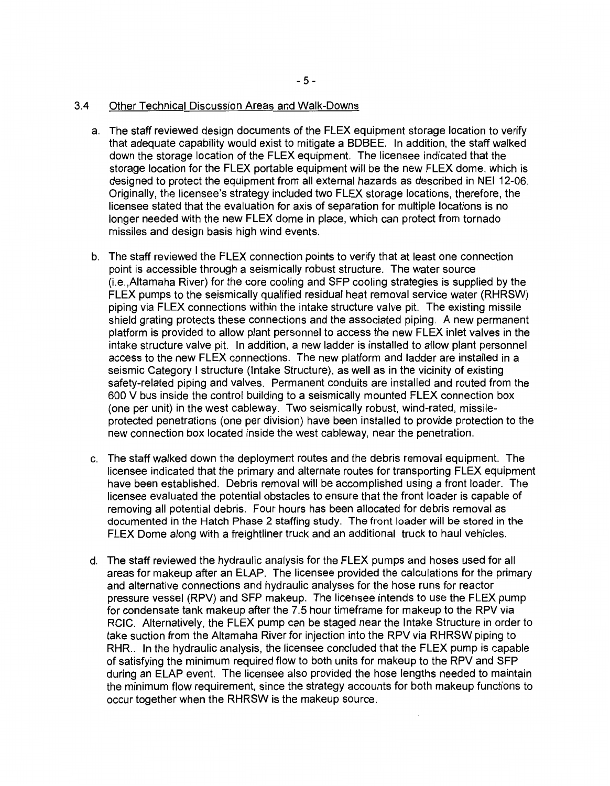#### 3.4 Other Technical Discussion Areas and Walk-Downs

- a. The staff reviewed design documents of the FLEX equipment storage location to verify that adequate capability would exist to mitigate a BDBEE. In addition, the staff walked down the storage location of the FLEX equipment. The licensee indicated that the storage location for the FLEX portable equipment will be the new FLEX dome, which is designed to protect the equipment from all external hazards as described in NEI 12-06. Originally, the licensee's strategy included two FLEX storage locations, therefore, the licensee stated that the evaluation for axis of separation for multiple locations is no longer needed with the new FLEX dome in place, which can protect from tornado missiles and design basis high wind events.
- b. The staff reviewed the FLEX connection points to verify that at least one connection point is accessible through a seismically robust structure. The water source (i.e.,Altamaha River) for the core cooling and SFP cooling strategies is supplied by the FLEX pumps to the seismically qualified residual heat removal service water (RHRSW) piping via FLEX connections within the intake structure valve pit. The existing missile shield grating protects these connections and the associated piping. A new permanent platform is provided to allow plant personnel to access the new FLEX inlet valves in the intake structure valve pit. In addition, a new ladder is installed to allow plant personnel access to the new FLEX connections. The new platform and ladder are installed in a seismic Category I structure (Intake Structure), as well as in the vicinity of existing safety-related piping and valves. Permanent conduits are installed and routed from the 600 V bus inside the control building to a seismically mounted FLEX connection box (one per unit) in the west cableway. Two seismically robust, wind-rated, missileprotected penetrations (one per division) have been installed to provide protection to the new connection box located inside the west cableway, near the penetration.
- c. The staff walked down the deployment routes and the debris removal equipment. The licensee indicated that the primary and alternate routes for transporting FLEX equipment have been established. Debris removal will be accomplished using a front loader. The licensee evaluated the potential obstacles to ensure that the front loader is capable of removing all potential debris. Four hours has been allocated for debris removal as documented in the Hatch Phase 2 staffing study. The front loader will be stored in the FLEX Dome along with a freightliner truck and an additional truck to haul vehicles.
- d. The staff reviewed the hydraulic analysis for the FLEX pumps and hoses used for all areas for makeup after an ELAP. The licensee provided the calculations for the primary and alternative connections and hydraulic analyses for the hose runs for reactor pressure vessel (RPV) and SFP makeup. The licensee intends to use the FLEX pump for condensate tank makeup after the 7.5 hour timeframe for makeup to the RPV via RCIC. Alternatively, the FLEX pump can be staged near the Intake Structure in order to take suction from the Altamaha River for injection into the RPV via RHRSW piping to RHR.. In the hydraulic analysis, the licensee concluded that the FLEX pump is capable of satisfying the minimum required flow to both units for makeup to the RPV and SFP during an ELAP event. The licensee also provided the hose lengths needed to maintain the minimum flow requirement, since the strategy accounts for both makeup functions to occur together when the RHRSW is the makeup source.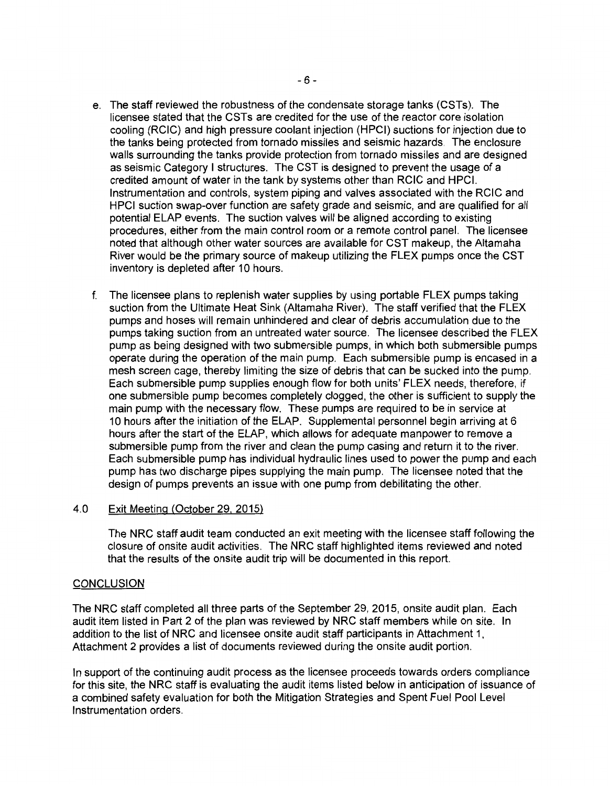- e. The staff reviewed the robustness of the condensate storage tanks (CSTs). The licensee stated that the CSTs are credited for the use of the reactor core isolation cooling (RCIC) and high pressure coolant injection (HPCI) suctions for injection due to the tanks being protected from tornado missiles and seismic hazards. The enclosure walls surrounding the tanks provide protection from tornado missiles and are designed as seismic Category I structures. The CST is designed to prevent the usage of a credited amount of water in the tank by systems other than RCIC and HPCI. Instrumentation and controls, system piping and valves associated with the RCIC and HPCI suction swap-over function are safety grade and seismic, and are qualified for all potential ELAP events. The suction valves will be aligned according to existing procedures, either from the main control room or a remote control panel. The licensee noted that although other water sources are available for CST makeup, the Altamaha River would be the primary source of makeup utilizing the FLEX pumps once the CST inventory is depleted after 10 hours.
- f. The licensee plans to replenish water supplies by using portable FLEX pumps taking suction from the Ultimate Heat Sink (Altamaha River). The staff verified that the FLEX pumps and hoses will remain unhindered and clear of debris accumulation due to the pumps taking suction from an untreated water source. The licensee described the FLEX pump as being designed with two submersible pumps, in which both submersible pumps operate during the operation of the main pump. Each submersible pump is encased in a mesh screen cage, thereby limiting the size of debris that can be sucked into the pump. Each submersible pump supplies enough flow for both units' FLEX needs, therefore, if one submersible pump becomes completely clogged, the other is sufficient to supply the main pump with the necessary flow. These pumps are required to be in service at 10 hours after the initiation of the ELAP. Supplemental personnel begin arriving at 6 hours after the start of the ELAP, which allows for adequate manpower to remove a submersible pump from the river and clean the pump casing and return it to the river. Each submersible pump has individual hydraulic lines used to power the pump and each pump has two discharge pipes supplying the main pump. The licensee noted that the design of pumps prevents an issue with one pump from debilitating the other.

### 4.0 Exit Meeting (October 29. 2015)

The NRC staff audit team conducted an exit meeting with the licensee staff following the closure of onsite audit activities. The NRC staff highlighted items reviewed and noted that the results of the onsite audit trip will be documented in this report.

### **CONCLUSION**

The NRC staff completed all three parts of the September 29, 2015, onsite audit plan. Each audit item listed in Part 2 of the plan was reviewed by NRC staff members while on site. In addition to the list of NRC and licensee onsite audit staff participants in Attachment 1, Attachment 2 provides a list of documents reviewed during the onsite audit portion.

In support of the continuing audit process as the licensee proceeds towards orders compliance for this site, the NRC staff is evaluating the audit items listed below in anticipation of issuance of a combined safety evaluation for both the Mitigation Strategies and Spent Fuel Pool Level Instrumentation orders.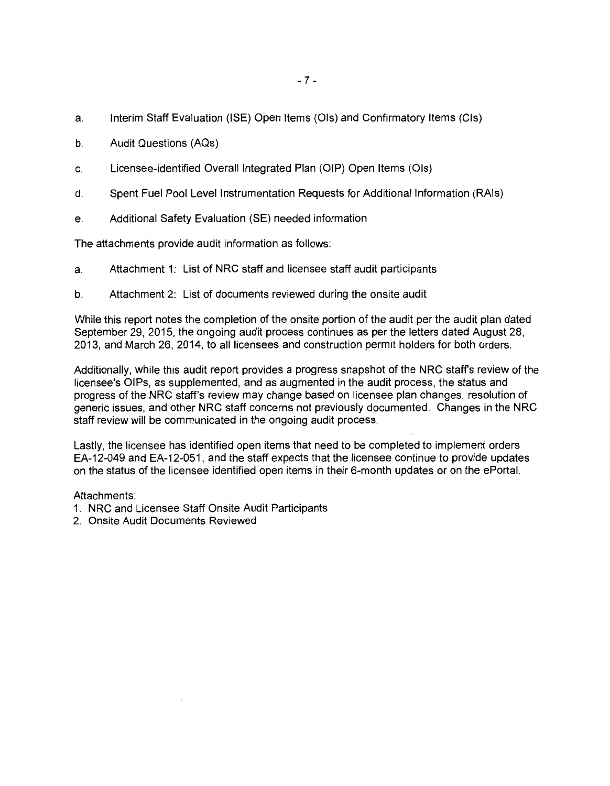- a. Interim Staff Evaluation (ISE) Open Items (Ols) and Confirmatory Items (Cls)
- b. Audit Questions (AQs)
- c. Licensee-identified Overall Integrated Plan (OIP) Open Items (Ols)
- d. Spent Fuel Pool Level Instrumentation Requests for Additional Information (RAls)
- e. Additional Safety Evaluation (SE) needed information

The attachments provide audit information as follows:

- a. Attachment 1: List of NRC staff and licensee staff audit participants
- b. Attachment 2: List of documents reviewed during the onsite audit

While this report notes the completion of the onsite portion of the audit per the audit plan dated September 29, 2015, the ongoing audit process continues as per the letters dated August 28, 2013, and March 26, 2014, to all licensees and construction permit holders for both orders.

Additionally, while this audit report provides a progress snapshot of the NRC staff's review of the licensee's OIPs, as supplemented, and as augmented in the audit process, the status and progress of the NRC staff's review may change based on licensee plan changes, resolution of generic issues, and other NRC staff concerns not previously documented. Changes in the NRC staff review will be communicated in the ongoing audit process.

Lastly, the licensee has identified open items that need to be completed to implement orders EA-12-049 and EA-12-051, and the staff expects that the licensee continue to provide updates on the status of the licensee identified open items in their 6-month updates or on the ePortal.

Attachments:

- 1. NRC and Licensee Staff Onsite Audit Participants
- 2. Onsite Audit Documents Reviewed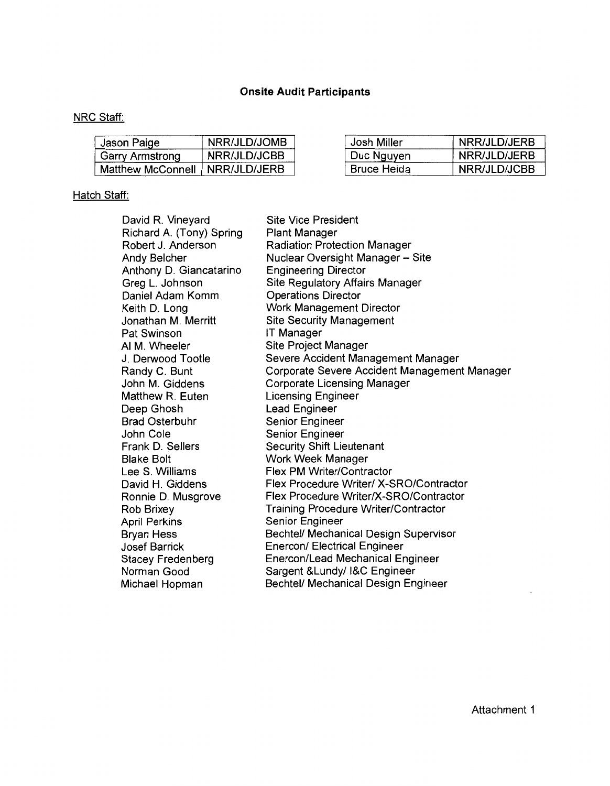# **Onsite Audit Participants**

# NRC Staff:

| Jason Paige       | NRR/JLD/JOMB | Josh Miller | NRR/JLD/JERB |
|-------------------|--------------|-------------|--------------|
| Garry Armstrong   | NRR/JLD/JCBB | Duc Nguyen  | NRR/JLD/JERB |
| Matthew McConnell | NRR/JLD/JERB | Bruce Heida | NRR/JLD/JCBB |

# Hatch Staff:

| David R. Vineyard        | <b>Site Vice President</b>                   |
|--------------------------|----------------------------------------------|
| Richard A. (Tony) Spring | <b>Plant Manager</b>                         |
| Robert J. Anderson       | Radiation Protection Manager                 |
| Andy Belcher             | Nuclear Oversight Manager - Site             |
| Anthony D. Giancatarino  | <b>Engineering Director</b>                  |
| Greg L. Johnson          | <b>Site Regulatory Affairs Manager</b>       |
| Daniel Adam Komm         | <b>Operations Director</b>                   |
| Keith D. Long            | Work Management Director                     |
| Jonathan M. Merritt      | <b>Site Security Management</b>              |
| Pat Swinson              | IT Manager                                   |
| AI M. Wheeler            | Site Project Manager                         |
| J. Derwood Tootle        | Severe Accident Management Manager           |
| Randy C. Bunt            | Corporate Severe Accident Management Manager |
| John M. Giddens          | Corporate Licensing Manager                  |
| Matthew R. Euten         | <b>Licensing Engineer</b>                    |
| Deep Ghosh               | Lead Engineer                                |
| <b>Brad Osterbuhr</b>    | Senior Engineer                              |
| John Cole                | Senior Engineer                              |
| Frank D. Sellers         | <b>Security Shift Lieutenant</b>             |
| <b>Blake Bolt</b>        | Work Week Manager                            |
| Lee S. Williams          | <b>Flex PM Writer/Contractor</b>             |
| David H. Giddens         | Flex Procedure Writer/ X-SRO/Contractor      |
| Ronnie D. Musgrove       | Flex Procedure Writer/X-SRO/Contractor       |
| Rob Brixey               | Training Procedure Writer/Contractor         |
| <b>April Perkins</b>     | Senior Engineer                              |
| <b>Bryan Hess</b>        | Bechtel/ Mechanical Design Supervisor        |
| <b>Josef Barrick</b>     | <b>Enercon/ Electrical Engineer</b>          |
| <b>Stacey Fredenberg</b> | Enercon/Lead Mechanical Engineer             |
| Norman Good              | Sargent & Lundy/ I&C Engineer                |
| Michael Hopman           | Bechtel/ Mechanical Design Engineer          |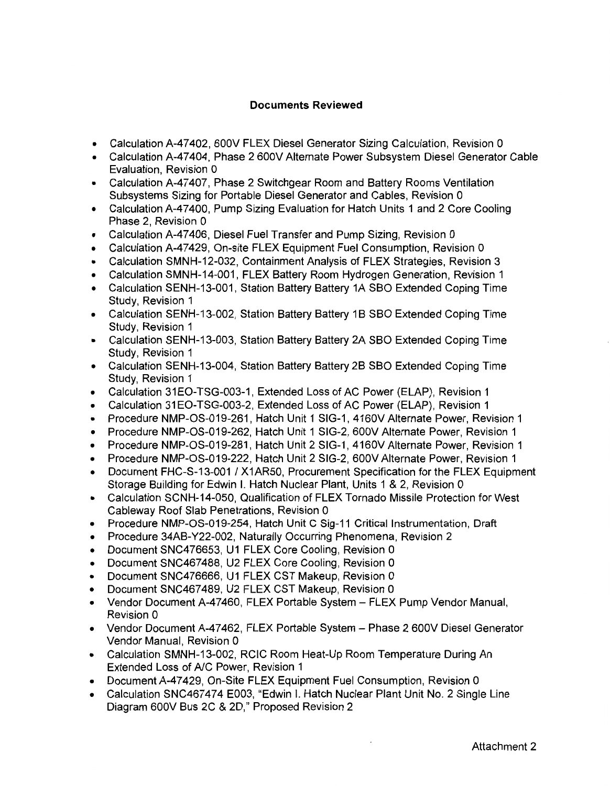### **Documents Reviewed**

- Calculation A-47402, 600V FLEX Diesel Generator Sizing Calculation, Revision 0
- Calculation A-47404, Phase 2 600V Alternate Power Subsystem Diesel Generator Cable Evaluation, Revision 0
- Calculation A-47407, Phase 2 Switchgear Room and Battery Rooms Ventilation Subsystems Sizing for Portable Diesel Generator and Cables, Revision 0
- Calculation A-47400, Pump Sizing Evaluation for Hatch Units 1 and 2 Core Cooling Phase 2, Revision 0
- Calculation A-47406, Diesel Fuel Transfer and Pump Sizing, Revision 0
- Calculation A-47429, On-site FLEX Equipment Fuel Consumption, Revision 0
- Calculation SMNH-12-032, Containment Analysis of FLEX Strategies, Revision 3
- Calculation SMNH-14-001, FLEX Battery Room Hydrogen Generation, Revision 1
- Calculation SENH-13-001, Station Battery Battery 1A SBO Extended Coping Time Study, Revision 1
- Calculation SENH-13-002, Station Battery Battery 1B SBO Extended Coping Time Study, Revision 1
- Calculation SENH-13-003, Station Battery Battery 2A SBO Extended Coping Time Study, Revision 1
- Calculation SENH-13-004, Station Battery Battery 2B SBO Extended Coping Time Study, Revision 1
- Calculation 31 EO-TSG-003-1, Extended Loss of AC Power (ELAP), Revision 1
- Calculation 31 EO-TSG-003-2, Extended Loss of AC Power (ELAP), Revision 1
- Procedure NMP-OS-019-261, Hatch Unit 1 SIG-1, 4160V Alternate Power, Revision 1
- Procedure NMP-OS-019-262, Hatch Unit 1 SIG-2, 600V Alternate Power, Revision 1
- Procedure NMP-OS-019-281, Hatch Unit 2 SIG-1, 4160V Alternate Power, Revision 1
- Procedure NMP-OS-019-222, Hatch Unit 2 SIG-2, 600V Alternate Power, Revision 1
- Document FHC-S-13-001 / X1AR50, Procurement Specification for the FLEX Equipment Storage Building for Edwin I. Hatch Nuclear Plant, Units 1 & 2, Revision 0
- Calculation SCNH-14-050, Qualification of FLEX Tornado Missile Protection for West Cableway Roof Slab Penetrations, Revision 0
- Procedure NMP-OS-019-254, Hatch Unit C Sig-11 Critical Instrumentation, Draft
- Procedure 34AB-Y22-002, Naturally Occurring Phenomena, Revision 2
- Document SNC476653, U1 FLEX Core Cooling, Revision O
- Document SNC467488, U2 FLEX Core Cooling, Revision 0
- Document SNC476666, U1 FLEX CST Makeup, Revision O
- Document SNC467489, U2 FLEX CST Makeup, Revision 0
- Vendor Document A-47460, FLEX Portable System FLEX Pump Vendor Manual, Revision 0
- Vendor Document A-47462, FLEX Portable System Phase 2 600V Diesel Generator Vendor Manual, Revision 0
- Calculation SMNH-13-002, RCIC Room Heat-Up Room Temperature During An Extended Loss of A/C Power, Revision 1
- Document A-47429, On-Site FLEX Equipment Fuel Consumption, Revision 0
- Calculation SNC467474 E003, "Edwin I. Hatch Nuclear Plant Unit No. 2 Single Line Diagram 600V Bus 2C & 2D," Proposed Revision 2